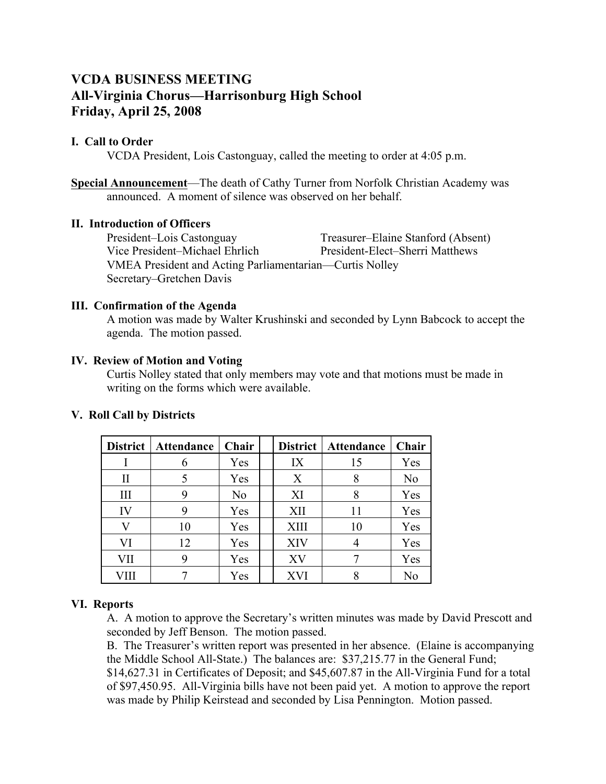# **VCDA BUSINESS MEETING All-Virginia Chorus—Harrisonburg High School Friday, April 25, 2008**

## **I. Call to Order**

VCDA President, Lois Castonguay, called the meeting to order at 4:05 p.m.

**Special Announcement**—The death of Cathy Turner from Norfolk Christian Academy was announced. A moment of silence was observed on her behalf.

#### **II. Introduction of Officers**

President–Lois Castonguay Treasurer–Elaine Stanford (Absent) Vice President–Michael Ehrlich President-Elect–Sherri Matthews VMEA President and Acting Parliamentarian—Curtis Nolley Secretary–Gretchen Davis

### **III. Confirmation of the Agenda**

A motion was made by Walter Krushinski and seconded by Lynn Babcock to accept the agenda. The motion passed.

#### **IV. Review of Motion and Voting**

Curtis Nolley stated that only members may vote and that motions must be made in writing on the forms which were available.

| <b>District</b> | <b>Attendance</b> | Chair          | <b>District</b> | Attendance | Chair |
|-----------------|-------------------|----------------|-----------------|------------|-------|
|                 | 6                 | Yes            | IX              | 15         | Yes   |
| П               |                   | Yes            | X               | 8          | No    |
| III             | 9                 | N <sub>0</sub> | XI              | 8          | Yes   |
| IV              | 9                 | Yes            | XII             | 11         | Yes   |
|                 | 10                | Yes            | <b>XIII</b>     | 10         | Yes   |
| VI              | 12                | Yes            | XIV             |            | Yes   |
| VII             | 9                 | Yes            | XV              |            | Yes   |
| ИЩ              |                   | Yes            | XVI             | Q          | No    |

## **V. Roll Call by Districts**

#### **VI. Reports**

A. A motion to approve the Secretary's written minutes was made by David Prescott and seconded by Jeff Benson. The motion passed.

B. The Treasurer's written report was presented in her absence. (Elaine is accompanying the Middle School All-State.) The balances are: \$37,215.77 in the General Fund;

\$14,627.31 in Certificates of Deposit; and \$45,607.87 in the All-Virginia Fund for a total of \$97,450.95. All-Virginia bills have not been paid yet. A motion to approve the report was made by Philip Keirstead and seconded by Lisa Pennington. Motion passed.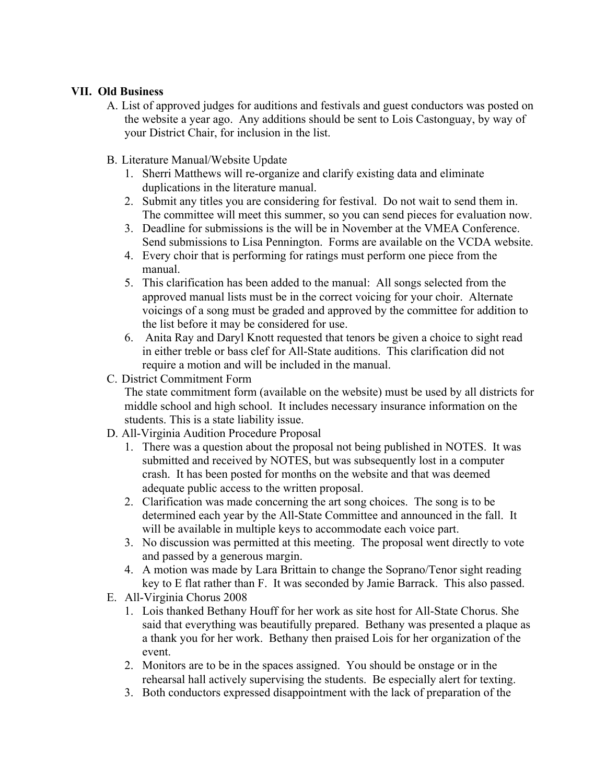## **VII. Old Business**

- A. List of approved judges for auditions and festivals and guest conductors was posted on the website a year ago. Any additions should be sent to Lois Castonguay, by way of your District Chair, for inclusion in the list.
- B. Literature Manual/Website Update
	- 1. Sherri Matthews will re-organize and clarify existing data and eliminate duplications in the literature manual.
	- 2. Submit any titles you are considering for festival. Do not wait to send them in. The committee will meet this summer, so you can send pieces for evaluation now.
	- 3. Deadline for submissions is the will be in November at the VMEA Conference. Send submissions to Lisa Pennington. Forms are available on the VCDA website.
	- 4. Every choir that is performing for ratings must perform one piece from the manual.
	- 5. This clarification has been added to the manual: All songs selected from the approved manual lists must be in the correct voicing for your choir. Alternate voicings of a song must be graded and approved by the committee for addition to the list before it may be considered for use.
	- 6. Anita Ray and Daryl Knott requested that tenors be given a choice to sight read in either treble or bass clef for All-State auditions. This clarification did not require a motion and will be included in the manual.
- C. District Commitment Form

The state commitment form (available on the website) must be used by all districts for middle school and high school. It includes necessary insurance information on the students. This is a state liability issue.

- D. All-Virginia Audition Procedure Proposal
	- 1. There was a question about the proposal not being published in NOTES. It was submitted and received by NOTES, but was subsequently lost in a computer crash. It has been posted for months on the website and that was deemed adequate public access to the written proposal.
	- 2. Clarification was made concerning the art song choices. The song is to be determined each year by the All-State Committee and announced in the fall. It will be available in multiple keys to accommodate each voice part.
	- 3. No discussion was permitted at this meeting. The proposal went directly to vote and passed by a generous margin.
	- 4. A motion was made by Lara Brittain to change the Soprano/Tenor sight reading key to E flat rather than F. It was seconded by Jamie Barrack. This also passed.
- E. All-Virginia Chorus 2008
	- 1. Lois thanked Bethany Houff for her work as site host for All-State Chorus. She said that everything was beautifully prepared. Bethany was presented a plaque as a thank you for her work. Bethany then praised Lois for her organization of the event.
	- 2. Monitors are to be in the spaces assigned. You should be onstage or in the rehearsal hall actively supervising the students. Be especially alert for texting.
	- 3. Both conductors expressed disappointment with the lack of preparation of the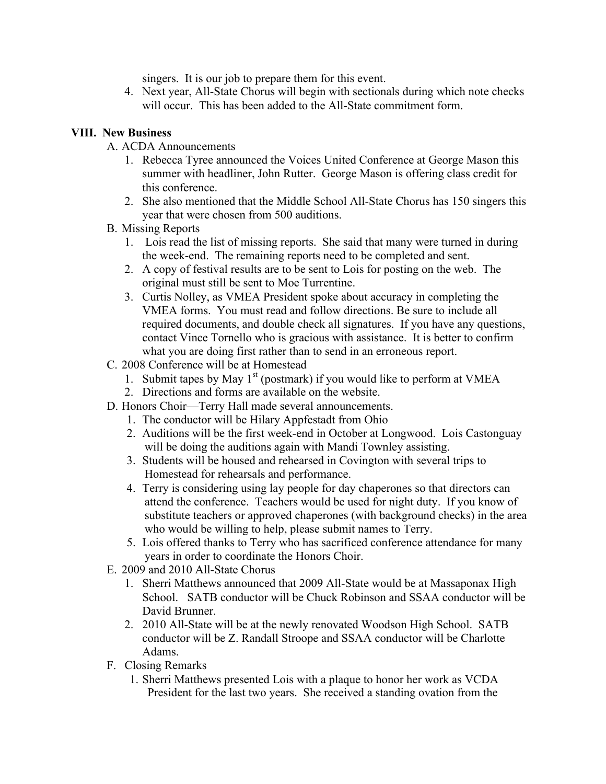singers. It is our job to prepare them for this event.

4. Next year, All-State Chorus will begin with sectionals during which note checks will occur. This has been added to the All-State commitment form.

# **VIII. New Business**

A. ACDA Announcements

- 1. Rebecca Tyree announced the Voices United Conference at George Mason this summer with headliner, John Rutter. George Mason is offering class credit for this conference.
- 2. She also mentioned that the Middle School All-State Chorus has 150 singers this year that were chosen from 500 auditions.
- B. Missing Reports
	- 1. Lois read the list of missing reports. She said that many were turned in during the week-end. The remaining reports need to be completed and sent.
	- 2. A copy of festival results are to be sent to Lois for posting on the web. The original must still be sent to Moe Turrentine.
	- 3. Curtis Nolley, as VMEA President spoke about accuracy in completing the VMEA forms. You must read and follow directions. Be sure to include all required documents, and double check all signatures. If you have any questions, contact Vince Tornello who is gracious with assistance. It is better to confirm what you are doing first rather than to send in an erroneous report.
- C. 2008 Conference will be at Homestead
	- 1. Submit tapes by May  $1<sup>st</sup>$  (postmark) if you would like to perform at VMEA
	- 2. Directions and forms are available on the website.
- D. Honors Choir—Terry Hall made several announcements.
	- 1. The conductor will be Hilary Appfestadt from Ohio
	- 2. Auditions will be the first week-end in October at Longwood. Lois Castonguay will be doing the auditions again with Mandi Townley assisting.
	- 3. Students will be housed and rehearsed in Covington with several trips to Homestead for rehearsals and performance.
	- 4. Terry is considering using lay people for day chaperones so that directors can attend the conference. Teachers would be used for night duty. If you know of substitute teachers or approved chaperones (with background checks) in the area who would be willing to help, please submit names to Terry.
	- 5. Lois offered thanks to Terry who has sacrificed conference attendance for many years in order to coordinate the Honors Choir.
- E. 2009 and 2010 All-State Chorus
	- 1. Sherri Matthews announced that 2009 All-State would be at Massaponax High School. SATB conductor will be Chuck Robinson and SSAA conductor will be David Brunner.
	- 2. 2010 All-State will be at the newly renovated Woodson High School. SATB conductor will be Z. Randall Stroope and SSAA conductor will be Charlotte Adams.
- F. Closing Remarks
	- 1. Sherri Matthews presented Lois with a plaque to honor her work as VCDA President for the last two years. She received a standing ovation from the